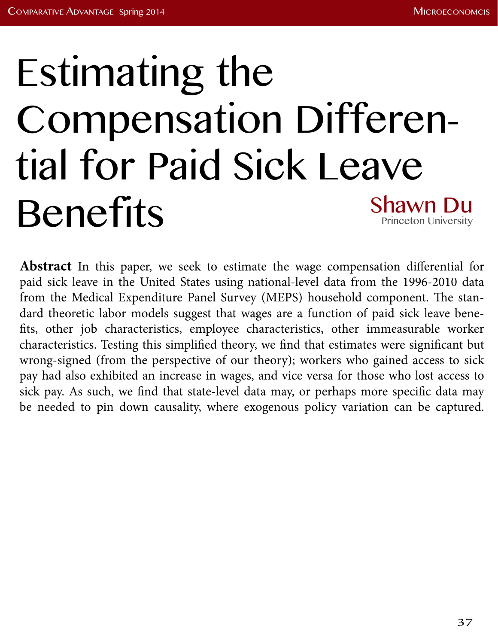# Estimating the Compensation Differential for Paid Sick Leave Benefits Shawn Du Princeton University

**Abstract** In this paper, we seek to estimate the wage compensation differential for paid sick leave in the United States using national-level data from the 1996-2010 data from the Medical Expenditure Panel Survey (MEPS) household component. The standard theoretic labor models suggest that wages are a function of paid sick leave benefits, other job characteristics, employee characteristics, other immeasurable worker characteristics. Testing this simplified theory, we find that estimates were significant but wrong-signed (from the perspective of our theory); workers who gained access to sick pay had also exhibited an increase in wages, and vice versa for those who lost access to sick pay. As such, we find that state-level data may, or perhaps more specific data may be needed to pin down causality, where exogenous policy variation can be captured.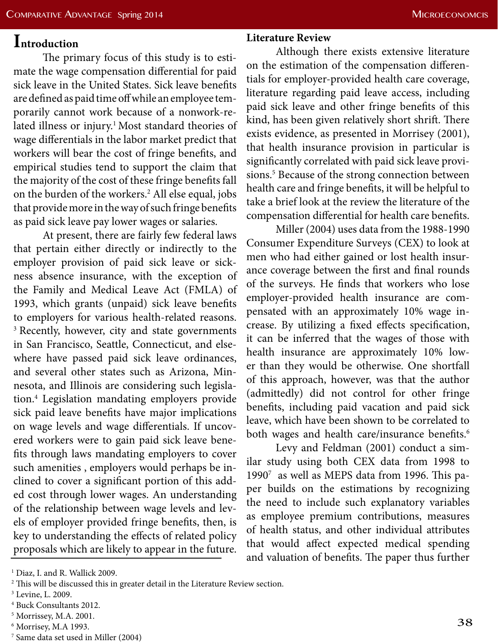# **Introduction**

The primary focus of this study is to estimate the wage compensation differential for paid sick leave in the United States. Sick leave benefits are defined as paid time off while an employee temporarily cannot work because of a nonwork-related illness or injury.<sup>1</sup> Most standard theories of wage differentials in the labor market predict that workers will bear the cost of fringe benefits, and empirical studies tend to support the claim that the majority of the cost of these fringe benefits fall on the burden of the workers.2 All else equal, jobs that provide more in the way of such fringe benefits as paid sick leave pay lower wages or salaries.

At present, there are fairly few federal laws that pertain either directly or indirectly to the employer provision of paid sick leave or sickness absence insurance, with the exception of the Family and Medical Leave Act (FMLA) of 1993, which grants (unpaid) sick leave benefits to employers for various health-related reasons. <sup>3</sup> Recently, however, city and state governments in San Francisco, Seattle, Connecticut, and elsewhere have passed paid sick leave ordinances, and several other states such as Arizona, Minnesota, and Illinois are considering such legislation.4 Legislation mandating employers provide sick paid leave benefits have major implications on wage levels and wage differentials. If uncovered workers were to gain paid sick leave benefits through laws mandating employers to cover such amenities , employers would perhaps be inclined to cover a significant portion of this added cost through lower wages. An understanding of the relationship between wage levels and levels of employer provided fringe benefits, then, is key to understanding the effects of related policy proposals which are likely to appear in the future.

## **Literature Review**

Although there exists extensive literature on the estimation of the compensation differentials for employer-provided health care coverage, literature regarding paid leave access, including paid sick leave and other fringe benefits of this kind, has been given relatively short shrift. There exists evidence, as presented in Morrisey (2001), that health insurance provision in particular is significantly correlated with paid sick leave provisions.<sup>5</sup> Because of the strong connection between health care and fringe benefits, it will be helpful to take a brief look at the review the literature of the compensation differential for health care benefits.

Miller (2004) uses data from the 1988-1990 Consumer Expenditure Surveys (CEX) to look at men who had either gained or lost health insurance coverage between the first and final rounds of the surveys. He finds that workers who lose employer-provided health insurance are compensated with an approximately 10% wage increase. By utilizing a fixed effects specification, it can be inferred that the wages of those with health insurance are approximately 10% lower than they would be otherwise. One shortfall of this approach, however, was that the author (admittedly) did not control for other fringe benefits, including paid vacation and paid sick leave, which have been shown to be correlated to both wages and health care/insurance benefits.<sup>6</sup>

Levy and Feldman (2001) conduct a similar study using both CEX data from 1998 to 19907 as well as MEPS data from 1996. This paper builds on the estimations by recognizing the need to include such explanatory variables as employee premium contributions, measures of health status, and other individual attributes that would affect expected medical spending and valuation of benefits. The paper thus further

<sup>1</sup> Diaz, I. and R. Wallick 2009.

<sup>2</sup> This will be discussed this in greater detail in the Literature Review section.

<sup>3</sup> Levine, L. 2009.

<sup>4</sup> Buck Consultants 2012.

<sup>5</sup> Morrissey, M.A. 2001.

<sup>6</sup> Morrisey, M.A 1993.

<sup>7</sup> Same data set used in Miller (2004)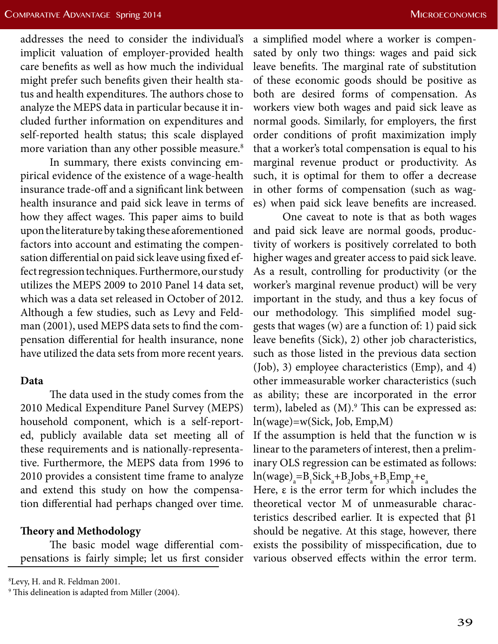addresses the need to consider the individual's implicit valuation of employer-provided health care benefits as well as how much the individual might prefer such benefits given their health status and health expenditures. The authors chose to analyze the MEPS data in particular because it included further information on expenditures and self-reported health status; this scale displayed more variation than any other possible measure.<sup>8</sup>

In summary, there exists convincing empirical evidence of the existence of a wage-health insurance trade-off and a significant link between health insurance and paid sick leave in terms of how they affect wages. This paper aims to build upon the literature by taking these aforementioned factors into account and estimating the compensation differential on paid sick leave using fixed effect regression techniques. Furthermore, our study utilizes the MEPS 2009 to 2010 Panel 14 data set, which was a data set released in October of 2012. Although a few studies, such as Levy and Feldman (2001), used MEPS data sets to find the compensation differential for health insurance, none have utilized the data sets from more recent years.

#### **Data**

The data used in the study comes from the 2010 Medical Expenditure Panel Survey (MEPS) household component, which is a self-reported, publicly available data set meeting all of these requirements and is nationally-representative. Furthermore, the MEPS data from 1996 to 2010 provides a consistent time frame to analyze and extend this study on how the compensation differential had perhaps changed over time.

## **Theory and Methodology**

The basic model wage differential compensations is fairly simple; let us first consider

8 Levy, H. and R. Feldman 2001.

a simplified model where a worker is compensated by only two things: wages and paid sick leave benefits. The marginal rate of substitution of these economic goods should be positive as both are desired forms of compensation. As workers view both wages and paid sick leave as normal goods. Similarly, for employers, the first order conditions of profit maximization imply that a worker's total compensation is equal to his marginal revenue product or productivity. As such, it is optimal for them to offer a decrease in other forms of compensation (such as wages) when paid sick leave benefits are increased.

One caveat to note is that as both wages and paid sick leave are normal goods, productivity of workers is positively correlated to both higher wages and greater access to paid sick leave. As a result, controlling for productivity (or the worker's marginal revenue product) will be very important in the study, and thus a key focus of our methodology. This simplified model suggests that wages (w) are a function of: 1) paid sick leave benefits (Sick), 2) other job characteristics, such as those listed in the previous data section (Job), 3) employee characteristics (Emp), and 4) other immeasurable worker characteristics (such as ability; these are incorporated in the error term), labeled as (M).<sup>9</sup> This can be expressed as: ln(wage)=w(Sick, Job, Emp,M)

If the assumption is held that the function w is linear to the parameters of interest, then a preliminary OLS regression can be estimated as follows:  $ln(wage)_a = B_1Sick_a + B_2Jobs_a + B_3Emp_a + e_a$ 

Here, ε is the error term for which includes the theoretical vector M of unmeasurable characteristics described earlier. It is expected that  $β1$ should be negative. At this stage, however, there exists the possibility of misspecification, due to various observed effects within the error term.

<sup>9</sup> This delineation is adapted from Miller (2004).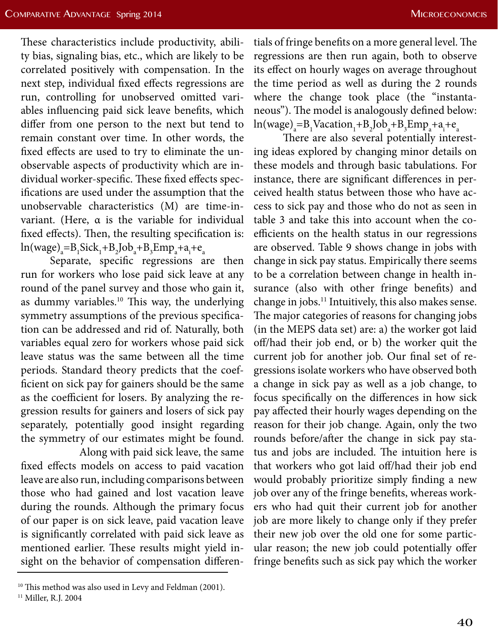These characteristics include productivity, ability bias, signaling bias, etc., which are likely to be correlated positively with compensation. In the next step, individual fixed effects regressions are run, controlling for unobserved omitted variables influencing paid sick leave benefits, which differ from one person to the next but tend to remain constant over time. In other words, the fixed effects are used to try to eliminate the unobservable aspects of productivity which are individual worker-specific. These fixed effects specifications are used under the assumption that the unobservable characteristics (M) are time-invariant. (Here, α is the variable for individual fixed effects). Then, the resulting specification is:  $ln(wage)_a = B_1Sick_1 + B_2Job_a + B_3Emp_a + a_i + e_a$ 

Separate, specific regressions are then run for workers who lose paid sick leave at any round of the panel survey and those who gain it, as dummy variables.<sup>10</sup> This way, the underlying symmetry assumptions of the previous specification can be addressed and rid of. Naturally, both variables equal zero for workers whose paid sick leave status was the same between all the time periods. Standard theory predicts that the coefficient on sick pay for gainers should be the same as the coefficient for losers. By analyzing the regression results for gainers and losers of sick pay separately, potentially good insight regarding the symmetry of our estimates might be found.

 Along with paid sick leave, the same fixed effects models on access to paid vacation leave are also run, including comparisons between those who had gained and lost vacation leave during the rounds. Although the primary focus of our paper is on sick leave, paid vacation leave is significantly correlated with paid sick leave as mentioned earlier. These results might yield insight on the behavior of compensation differen-

tials of fringe benefits on a more general level. The regressions are then run again, both to observe its effect on hourly wages on average throughout the time period as well as during the 2 rounds where the change took place (the "instantaneous"). The model is analogously defined below:  $ln(wage)_a = B_1Vacation_1 + B_2Job_a + B_3Emp_a + a_i + e_a$ 

There are also several potentially interesting ideas explored by changing minor details on these models and through basic tabulations. For instance, there are significant differences in perceived health status between those who have access to sick pay and those who do not as seen in table 3 and take this into account when the coefficients on the health status in our regressions are observed. Table 9 shows change in jobs with change in sick pay status. Empirically there seems to be a correlation between change in health insurance (also with other fringe benefits) and change in jobs.11 Intuitively, this also makes sense. The major categories of reasons for changing jobs (in the MEPS data set) are: a) the worker got laid off/had their job end, or b) the worker quit the current job for another job. Our final set of regressions isolate workers who have observed both a change in sick pay as well as a job change, to focus specifically on the differences in how sick pay affected their hourly wages depending on the reason for their job change. Again, only the two rounds before/after the change in sick pay status and jobs are included. The intuition here is that workers who got laid off/had their job end would probably prioritize simply finding a new job over any of the fringe benefits, whereas workers who had quit their current job for another job are more likely to change only if they prefer their new job over the old one for some particular reason; the new job could potentially offer fringe benefits such as sick pay which the worker

<sup>&</sup>lt;sup>10</sup> This method was also used in Levy and Feldman (2001).

<sup>&</sup>lt;sup>11</sup> Miller, R.J. 2004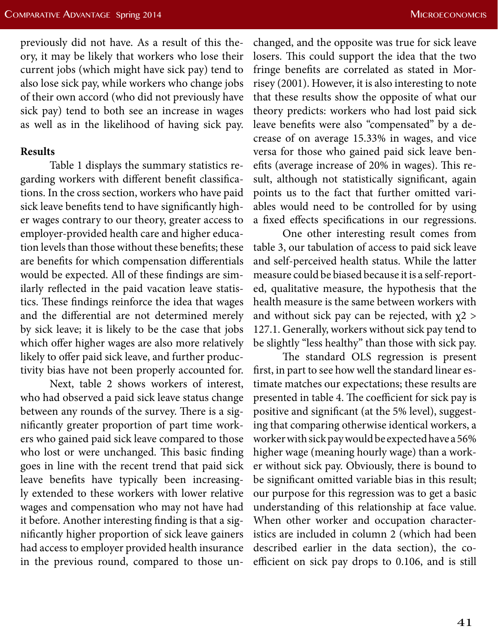previously did not have. As a result of this theory, it may be likely that workers who lose their current jobs (which might have sick pay) tend to also lose sick pay, while workers who change jobs of their own accord (who did not previously have sick pay) tend to both see an increase in wages as well as in the likelihood of having sick pay.

#### **Results**

Table 1 displays the summary statistics regarding workers with different benefit classifications. In the cross section, workers who have paid sick leave benefits tend to have significantly higher wages contrary to our theory, greater access to employer-provided health care and higher education levels than those without these benefits; these are benefits for which compensation differentials would be expected. All of these findings are similarly reflected in the paid vacation leave statistics. These findings reinforce the idea that wages and the differential are not determined merely by sick leave; it is likely to be the case that jobs which offer higher wages are also more relatively likely to offer paid sick leave, and further productivity bias have not been properly accounted for.

Next, table 2 shows workers of interest, who had observed a paid sick leave status change between any rounds of the survey. There is a significantly greater proportion of part time workers who gained paid sick leave compared to those who lost or were unchanged. This basic finding goes in line with the recent trend that paid sick leave benefits have typically been increasingly extended to these workers with lower relative wages and compensation who may not have had it before. Another interesting finding is that a significantly higher proportion of sick leave gainers had access to employer provided health insurance in the previous round, compared to those un-

changed, and the opposite was true for sick leave losers. This could support the idea that the two fringe benefits are correlated as stated in Morrisey (2001). However, it is also interesting to note that these results show the opposite of what our theory predicts: workers who had lost paid sick leave benefits were also "compensated" by a decrease of on average 15.33% in wages, and vice versa for those who gained paid sick leave benefits (average increase of 20% in wages). This result, although not statistically significant, again points us to the fact that further omitted variables would need to be controlled for by using a fixed effects specifications in our regressions.

One other interesting result comes from table 3, our tabulation of access to paid sick leave and self-perceived health status. While the latter measure could be biased because it is a self-reported, qualitative measure, the hypothesis that the health measure is the same between workers with and without sick pay can be rejected, with  $\chi$ 2 > 127.1. Generally, workers without sick pay tend to be slightly "less healthy" than those with sick pay.

The standard OLS regression is present first, in part to see how well the standard linear estimate matches our expectations; these results are presented in table 4. The coefficient for sick pay is positive and significant (at the 5% level), suggesting that comparing otherwise identical workers, a worker with sick pay would be expected have a 56% higher wage (meaning hourly wage) than a worker without sick pay. Obviously, there is bound to be significant omitted variable bias in this result; our purpose for this regression was to get a basic understanding of this relationship at face value. When other worker and occupation characteristics are included in column 2 (which had been described earlier in the data section), the coefficient on sick pay drops to 0.106, and is still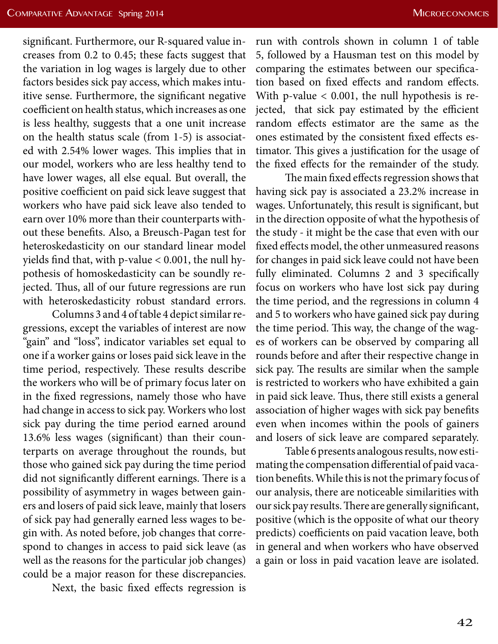significant. Furthermore, our R-squared value increases from 0.2 to 0.45; these facts suggest that the variation in log wages is largely due to other factors besides sick pay access, which makes intuitive sense. Furthermore, the significant negative coefficient on health status, which increases as one is less healthy, suggests that a one unit increase on the health status scale (from 1-5) is associated with 2.54% lower wages. This implies that in our model, workers who are less healthy tend to have lower wages, all else equal. But overall, the positive coefficient on paid sick leave suggest that workers who have paid sick leave also tended to earn over 10% more than their counterparts without these benefits. Also, a Breusch-Pagan test for heteroskedasticity on our standard linear model yields find that, with p-value < 0.001, the null hypothesis of homoskedasticity can be soundly rejected. Thus, all of our future regressions are run with heteroskedasticity robust standard errors.

Columns 3 and 4 of table 4 depict similar regressions, except the variables of interest are now "gain" and "loss", indicator variables set equal to one if a worker gains or loses paid sick leave in the time period, respectively. These results describe the workers who will be of primary focus later on in the fixed regressions, namely those who have had change in access to sick pay. Workers who lost sick pay during the time period earned around 13.6% less wages (significant) than their counterparts on average throughout the rounds, but those who gained sick pay during the time period did not significantly different earnings. There is a possibility of asymmetry in wages between gainers and losers of paid sick leave, mainly that losers of sick pay had generally earned less wages to begin with. As noted before, job changes that correspond to changes in access to paid sick leave (as well as the reasons for the particular job changes) could be a major reason for these discrepancies.

Next, the basic fixed effects regression is

run with controls shown in column 1 of table 5, followed by a Hausman test on this model by comparing the estimates between our specification based on fixed effects and random effects. With p-value  $< 0.001$ , the null hypothesis is rejected, that sick pay estimated by the efficient random effects estimator are the same as the ones estimated by the consistent fixed effects estimator. This gives a justification for the usage of the fixed effects for the remainder of the study.

The main fixed effects regression shows that having sick pay is associated a 23.2% increase in wages. Unfortunately, this result is significant, but in the direction opposite of what the hypothesis of the study - it might be the case that even with our fixed effects model, the other unmeasured reasons for changes in paid sick leave could not have been fully eliminated. Columns 2 and 3 specifically focus on workers who have lost sick pay during the time period, and the regressions in column 4 and 5 to workers who have gained sick pay during the time period. This way, the change of the wages of workers can be observed by comparing all rounds before and after their respective change in sick pay. The results are similar when the sample is restricted to workers who have exhibited a gain in paid sick leave. Thus, there still exists a general association of higher wages with sick pay benefits even when incomes within the pools of gainers and losers of sick leave are compared separately.

Table 6 presents analogous results, now estimating the compensation differential of paid vacation benefits. While this is not the primary focus of our analysis, there are noticeable similarities with our sick pay results. There are generally significant, positive (which is the opposite of what our theory predicts) coefficients on paid vacation leave, both in general and when workers who have observed a gain or loss in paid vacation leave are isolated.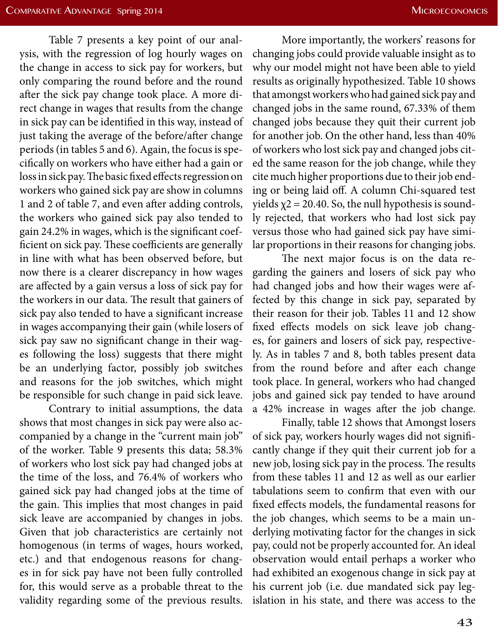Table 7 presents a key point of our analysis, with the regression of log hourly wages on the change in access to sick pay for workers, but only comparing the round before and the round after the sick pay change took place. A more direct change in wages that results from the change in sick pay can be identified in this way, instead of just taking the average of the before/after change periods (in tables 5 and 6). Again, the focus is specifically on workers who have either had a gain or loss in sick pay. The basic fixed effects regression on workers who gained sick pay are show in columns 1 and 2 of table 7, and even after adding controls, the workers who gained sick pay also tended to gain 24.2% in wages, which is the significant coefficient on sick pay. These coefficients are generally in line with what has been observed before, but now there is a clearer discrepancy in how wages are affected by a gain versus a loss of sick pay for the workers in our data. The result that gainers of sick pay also tended to have a significant increase in wages accompanying their gain (while losers of sick pay saw no significant change in their wages following the loss) suggests that there might be an underlying factor, possibly job switches and reasons for the job switches, which might be responsible for such change in paid sick leave.

Contrary to initial assumptions, the data shows that most changes in sick pay were also accompanied by a change in the "current main job" of the worker. Table 9 presents this data; 58.3% of workers who lost sick pay had changed jobs at the time of the loss, and 76.4% of workers who gained sick pay had changed jobs at the time of the gain. This implies that most changes in paid sick leave are accompanied by changes in jobs. Given that job characteristics are certainly not homogenous (in terms of wages, hours worked, etc.) and that endogenous reasons for changes in for sick pay have not been fully controlled for, this would serve as a probable threat to the validity regarding some of the previous results.

More importantly, the workers' reasons for changing jobs could provide valuable insight as to why our model might not have been able to yield results as originally hypothesized. Table 10 shows that amongst workers who had gained sick pay and changed jobs in the same round, 67.33% of them changed jobs because they quit their current job for another job. On the other hand, less than 40% of workers who lost sick pay and changed jobs cited the same reason for the job change, while they cite much higher proportions due to their job ending or being laid off. A column Chi-squared test yields  $\chi$ 2 = 20.40. So, the null hypothesis is soundly rejected, that workers who had lost sick pay versus those who had gained sick pay have similar proportions in their reasons for changing jobs.

The next major focus is on the data regarding the gainers and losers of sick pay who had changed jobs and how their wages were affected by this change in sick pay, separated by their reason for their job. Tables 11 and 12 show fixed effects models on sick leave job changes, for gainers and losers of sick pay, respectively. As in tables 7 and 8, both tables present data from the round before and after each change took place. In general, workers who had changed jobs and gained sick pay tended to have around a 42% increase in wages after the job change.

Finally, table 12 shows that Amongst losers of sick pay, workers hourly wages did not significantly change if they quit their current job for a new job, losing sick pay in the process. The results from these tables 11 and 12 as well as our earlier tabulations seem to confirm that even with our fixed effects models, the fundamental reasons for the job changes, which seems to be a main underlying motivating factor for the changes in sick pay, could not be properly accounted for. An ideal observation would entail perhaps a worker who had exhibited an exogenous change in sick pay at his current job (i.e. due mandated sick pay legislation in his state, and there was access to the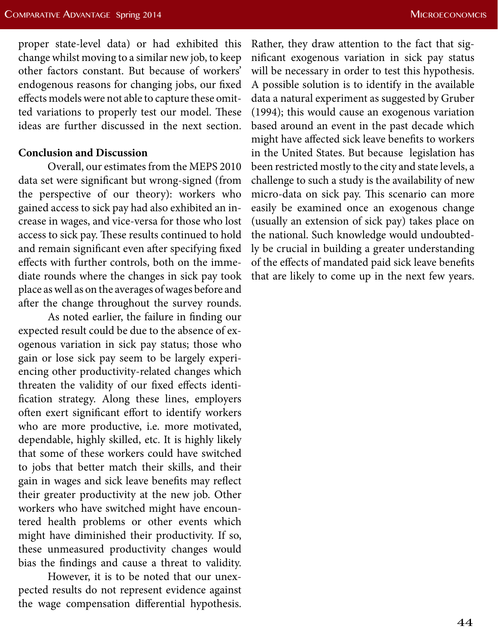proper state-level data) or had exhibited this change whilst moving to a similar new job, to keep other factors constant. But because of workers' endogenous reasons for changing jobs, our fixed effects models were not able to capture these omitted variations to properly test our model. These ideas are further discussed in the next section.

## **Conclusion and Discussion**

Overall, our estimates from the MEPS 2010 data set were significant but wrong-signed (from the perspective of our theory): workers who gained access to sick pay had also exhibited an increase in wages, and vice-versa for those who lost access to sick pay. These results continued to hold and remain significant even after specifying fixed effects with further controls, both on the immediate rounds where the changes in sick pay took place as well as on the averages of wages before and after the change throughout the survey rounds.

As noted earlier, the failure in finding our expected result could be due to the absence of exogenous variation in sick pay status; those who gain or lose sick pay seem to be largely experiencing other productivity-related changes which threaten the validity of our fixed effects identification strategy. Along these lines, employers often exert significant effort to identify workers who are more productive, i.e. more motivated, dependable, highly skilled, etc. It is highly likely that some of these workers could have switched to jobs that better match their skills, and their gain in wages and sick leave benefits may reflect their greater productivity at the new job. Other workers who have switched might have encountered health problems or other events which might have diminished their productivity. If so, these unmeasured productivity changes would bias the findings and cause a threat to validity.

However, it is to be noted that our unexpected results do not represent evidence against the wage compensation differential hypothesis. Rather, they draw attention to the fact that significant exogenous variation in sick pay status will be necessary in order to test this hypothesis. A possible solution is to identify in the available data a natural experiment as suggested by Gruber (1994); this would cause an exogenous variation based around an event in the past decade which might have affected sick leave benefits to workers in the United States. But because legislation has been restricted mostly to the city and state levels, a challenge to such a study is the availability of new micro-data on sick pay. This scenario can more easily be examined once an exogenous change (usually an extension of sick pay) takes place on the national. Such knowledge would undoubtedly be crucial in building a greater understanding of the effects of mandated paid sick leave benefits that are likely to come up in the next few years.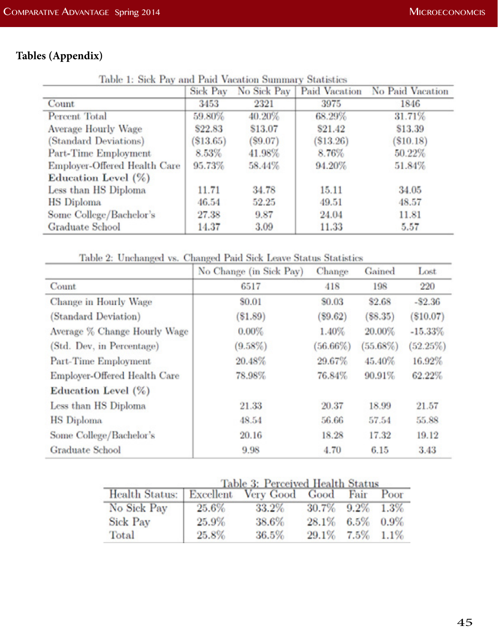# **Tables (Appendix)**

Table 1: Sick Pay and Paid Vacation Summary Statistics

| weeken we nighted with theses a these figurational prosecutions y night-buildings | Sick Pay    | No Sick Pay | Paid Vacation | No Paid Vacation |
|-----------------------------------------------------------------------------------|-------------|-------------|---------------|------------------|
| Count                                                                             | 3453        | 2321        | 3975          | 1846             |
| Percent Total                                                                     | 59.80%      | 40.20%      | 68.29%        | 31.71%           |
| <b>Average Hourly Wage</b>                                                        | \$22.83     | \$13.07     | \$21.42       | \$13.39          |
| (Standard Deviations)                                                             | $(\$13.65)$ | $(\$9.07)$  | (\$13.26)     | $(\$10.18)$      |
| Part-Time Employment                                                              | 8.53%       | 41.98%      | 8.76%         | 50.22%           |
| Employer-Offered Health Care                                                      | 95.73%      | 58.44%      | 94.20%        | 51.84%           |
| Education Level (%)                                                               |             |             |               |                  |
| Less than HS Diploma                                                              | 11.71       | 34.78       | 15.11         | 34.05            |
| <b>HS</b> Diploma                                                                 | 46.54       | 52.25       | 49.51         | 48.57            |
| Some College/Bachelor's                                                           | 27.38       | 9.87        | 24.04         | 11.81            |
| Graduate School                                                                   | 14.37       | 3.09        | 11.33         | 5.57             |

Table 2: Unchanged vs. Changed Paid Sick Leave Status Statistics

|                              | No Change (in Sick Pay) | Change   | Gained      | Lost        |
|------------------------------|-------------------------|----------|-------------|-------------|
| Count                        | 6517                    | 418      | 198         | 220         |
| Change in Hourly Wage        | \$0.01                  | \$0.03   | \$2.68      | $- $2.36$   |
| (Standard Deviation)         | $(\$1.89)$              | (S9.62)  | (S8.35)     | $(\$10.07)$ |
| Average % Change Hourly Wage | $0.00\%$                | 1.40%    | 20.00%      | $-15.33%$   |
| (Std. Dev, in Percentage)    | $(9.58\%)$              | (56.66%) | $(55.68\%)$ | (52.25%)    |
| Part-Time Employment         | 20.48%                  | 29.67%   | 45.40%      | 16.92%      |
| Employer-Offered Health Care | 78.98%                  | 76.84%   | 90.91%      | 62.22%      |
| Education Level (%)          |                         |          |             |             |
| Less than HS Diploma         | 21.33                   | 20.37    | 18.99       | 21.57       |
| <b>HS</b> Diploma            | 48.54                   | 56.66    | 57.54       | 55.88       |
| Some College/Bachelor's      | 20.16                   | 18.28    | 17.32       | 19.12       |
| Graduate School              | 9.98                    | 4.70     | 6.15        | 3.43        |

| Table 3: Perceived Health Status |  |  |
|----------------------------------|--|--|
|                                  |  |  |

| Health Status: Excellent Very Good Good |          |       |                 | Fair         | Poor |
|-----------------------------------------|----------|-------|-----------------|--------------|------|
| No Sick Pay                             | $25.6\%$ | 33.2% | 30.7% 9.2% 1.3% |              |      |
| <b>Sick Pay</b>                         | 25.9%    | 38.6% | 28.1%           | $6.5\%$ 0.9% |      |
| Total                                   | $25.8\%$ | 36.5% | 29.1%           | $7.5\%$ 1.1% |      |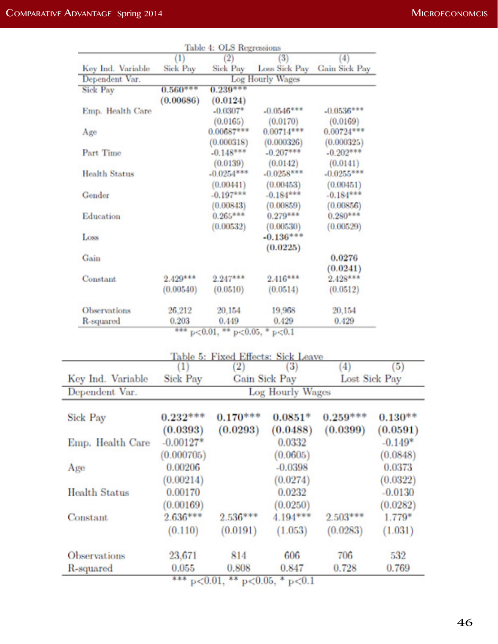|                                   |                  | Table 4: OLS Regressions           |                                    |                             |           |
|-----------------------------------|------------------|------------------------------------|------------------------------------|-----------------------------|-----------|
|                                   | (1)              |                                    | (3)                                | (4)                         |           |
| Key Ind. Variable                 | <b>Sick Pay</b>  | Sick Pay                           |                                    | Loss Sick Pay Gain Sick Pay |           |
| Dependent Var.<br><b>Sick Pay</b> | $0.560***$       | $0.239***$                         | Log Hourly Wages                   |                             |           |
|                                   | (0.00686)        | (0.0124)                           |                                    |                             |           |
| Emp. Health Care                  |                  | $-0.0307*$                         | $-0.0546***$                       | $-0.0536***$                |           |
|                                   |                  | (0.0165)                           | (0.0170)                           | (0.0169)                    |           |
| Age                               |                  | $0.00687***$                       | $0.00714***$                       | $0.00724***$                |           |
|                                   |                  | (0.000318)                         | (0.000326)                         | (0.000325)                  |           |
| Part Time                         |                  | $-0.148***$                        | $-0.207***$                        | $-0.202***$                 |           |
|                                   |                  | (0.0139)                           | (0.0142)                           | (0.0141)                    |           |
| <b>Health Status</b>              |                  | $-0.0254***$<br>(0.00441)          | $-0.0258***$                       | $-0.0255***$                |           |
| Gender                            |                  | $-0.197***$                        | (0.00453)<br>$-0.184***$           | (0.00451)<br>$-0.184***$    |           |
|                                   |                  | (0.00843)                          | (0.00859)                          | (0.00856)                   |           |
| Education                         |                  | $0.265***$                         | $0.279***$                         | $0.280***$                  |           |
|                                   |                  | (0.00532)                          | (0.00530)                          | (0.00529)                   |           |
| Loss                              |                  |                                    | $-0.136***$                        |                             |           |
|                                   |                  |                                    | (0.0225)                           |                             |           |
| Gain                              |                  |                                    |                                    | 0.0276                      |           |
| Constant                          | $2.429***$       | $2.247***$                         | $2.416***$                         | (0.0241)<br>$2.428***$      |           |
|                                   | (0.00540)        | (0.0510)                           | (0.0514)                           | (0.0512)                    |           |
|                                   |                  |                                    |                                    |                             |           |
| Observations                      | 26,212           | 20,154                             | 19,968                             | 20,154                      |           |
| R-squared                         | 0.203            | 0.449                              | 0.429                              | 0.429                       |           |
|                                   | ***              | $p<0.01$ , ** $p<0.05$ , * $p<0.1$ |                                    |                             |           |
|                                   |                  |                                    | Table 5: Fixed Effects: Sick Leave |                             |           |
|                                   | $\left(1\right)$ | $\left( 2\right)$                  | (3)                                | (4)                         | (5)       |
| Key Ind. Variable                 | <b>Sick Pay</b>  |                                    | <b>Gain Sick Pay</b>               | Lost Sick Pay               |           |
| Dependent Var.                    |                  |                                    | <b>Log Hourly Wages</b>            |                             |           |
| Sick Pay                          | $0.232***$       | $0.170***$                         | $0.0851*$                          | $0.259***$                  | $0.130**$ |
|                                   |                  |                                    |                                    | (0.0399)                    |           |
|                                   | (0.0393)         | (0.0293)                           | (0.0488)                           |                             | (0.0591)  |
| Emp. Health Care                  | $-0.00127*$      |                                    | 0.0332                             |                             | $-0.149*$ |
|                                   | (0.000705)       |                                    | (0.0605)                           |                             | (0.0848)  |
| Age                               | 0.00206          |                                    | $-0.0398$                          |                             | 0.0373    |
|                                   | (0.00214)        |                                    | (0.0274)                           |                             | (0.0322)  |
| <b>Health Status</b>              | 0.00170          |                                    | 0.0232                             |                             | $-0.0130$ |
|                                   | (0.00169)        |                                    | (0.0250)                           |                             | (0.0282)  |
| Constant                          | $2.636***$       | $2.536***$                         | $4.194***$                         | $2.503***$                  | 1.779*    |
|                                   | (0.110)          | (0.0191)                           | (1.053)                            | (0.0283)                    | (1.031)   |
| <b>Observations</b>               | 23,671           | 814                                | 606                                | 706                         | 532       |
| R-squared                         | 0.055            | $_{0.808}$                         | 0.847                              | 0.728                       | 0.769     |

 $\begin{array}{r} 0.055 \qquad \qquad 0.808 \qquad \qquad 0.847 \\ \hline \text{\tt*** $p$<0.01, $** $p$<0.05, $* $p$<0.1$} \end{array}$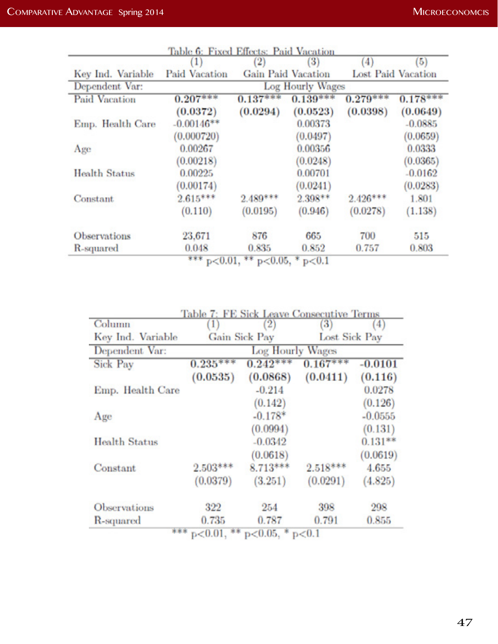|                      | Table 6: Fixed Effects: Paid Vacation<br>$\left(1\right)$ | $^{(2)}$   | $\left 3\right\rangle$    | (4)        | (5)                       |
|----------------------|-----------------------------------------------------------|------------|---------------------------|------------|---------------------------|
| Key Ind. Variable    | <b>Paid Vacation</b>                                      |            | <b>Gain Paid Vacation</b> |            | <b>Lost Paid Vacation</b> |
| Dependent Var:       |                                                           |            | Log Hourly Wages          |            |                           |
| <b>Paid Vacation</b> | $0.207***$                                                | $0.137***$ | $0.139***$                | $0.279***$ | $0.178***$                |
|                      | (0.0372)                                                  | (0.0294)   | (0.0523)                  | (0.0398)   | (0.0649)                  |
| Emp. Health Care     | $-0.00146**$                                              |            | 0.00373                   |            | $-0.0885$                 |
|                      | (0.000720)                                                |            | (0.0497)                  |            | (0.0659)                  |
| Age                  | 0.00267                                                   |            | 0.00356                   |            | 0.0333                    |
|                      | (0.00218)                                                 |            | (0.0248)                  |            | (0.0365)                  |
| Health Status        | 0.00225                                                   |            | 0.00701                   |            | $-0.0162$                 |
|                      | (0.00174)                                                 |            | (0.0241)                  |            | (0.0283)                  |
| Constant             | $2.615***$                                                | $2.489***$ | $2.398**$                 | $2.426***$ | 1.801                     |
|                      | (0.110)                                                   | (0.0195)   | (0.946)                   | (0.0278)   | (1.138)                   |
| Observations         | 23,671                                                    | 876        | 665                       | 700        | 515                       |
| R-squared            | 0.048                                                     | 0.835      | 0.852                     | 0.757      | 0.803                     |

\*\*\*  $p<0.01$ , \*\*  $p<0.05$ , \*  $p<0.1$ 

| Column            | $_{1}$     | (2)              | Table 7: FE Sick Leave Consecutive Terms<br>$\left( 3\right)$ | (4)       |
|-------------------|------------|------------------|---------------------------------------------------------------|-----------|
| Key Ind. Variable |            | Gain Sick Pay    | Lost Sick Pay                                                 |           |
| Dependent Var:    |            | Log Hourly Wages |                                                               |           |
| <b>Sick Pay</b>   | $0.235***$ | $0.242***$       | $0.167***$                                                    | $-0.0101$ |
|                   | (0.0535)   | (0.0868)         | (0.0411)                                                      | (0.116)   |
| Emp. Health Care  |            | $-0.214$         |                                                               | 0.0278    |
|                   |            | (0.142)          |                                                               | (0.126)   |
| Age               |            | $-0.178*$        |                                                               | $-0.0555$ |
|                   |            | (0.0994)         |                                                               | (0.131)   |
| Health Status     |            | $-0.0342$        |                                                               | $0.131**$ |
|                   |            | (0.0618)         |                                                               | (0.0619)  |
| Constant          | $2.503***$ | $8.713***$       | $2.518***$                                                    | 4.655     |
|                   | (0.0379)   | (3.251)          | (0.0291)                                                      | (4.825)   |
| Observations      | 322        | 254              | 398                                                           | 298       |
| R-squared         | 0.735      | 0.787            | 0.791                                                         | 0.855     |

 $p < 0.01$ ,  $\rightarrow p < 0.05$ ,  $\rightarrow p < 0.1$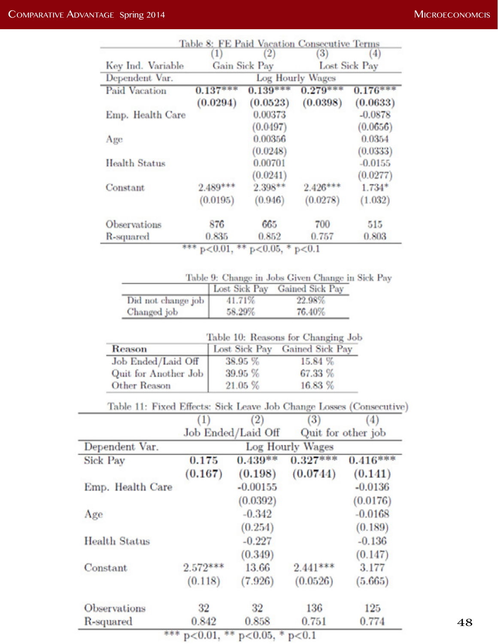|                      | (1)              | (2)           | 3)         | (4)           |  |
|----------------------|------------------|---------------|------------|---------------|--|
| Key Ind. Variable    |                  | Gain Sick Pay |            | Lost Sick Pay |  |
| Dependent Var.       | Log Hourly Wages |               |            |               |  |
| <b>Paid Vacation</b> | $0.137***$       | $0.139***$    | $0.279***$ | $0.176***$    |  |
|                      | (0.0294)         | (0.0523)      | (0.0398)   | (0.0633)      |  |
| Emp. Health Care     |                  | 0.00373       |            | $-0.0878$     |  |
|                      |                  | (0.0497)      |            | (0.0656)      |  |
| Age                  |                  | 0.00356       |            | 0.0354        |  |
|                      |                  | (0.0248)      |            | (0.0333)      |  |
| Health Status        |                  | 0.00701       |            | $-0.0155$     |  |
|                      |                  | (0.0241)      |            | (0.0277)      |  |
| Constant             | $2.489***$       | $2.398**$     | $2.426***$ | $1.734*$      |  |
|                      | (0.0195)         | (0.946)       | (0.0278)   | (1.032)       |  |
| Observations         | 876              | 665           | 700        | 515           |  |
| R-squared            | 0.835            | 0.852         | 0.757      | 0.803         |  |

| Table 9: Change in Jobs Given Change in Sick Pay |  |  |  |  |
|--------------------------------------------------|--|--|--|--|

|                    | Lost Sick Pay | Gained Sick Pay |
|--------------------|---------------|-----------------|
| Did not change job | 41.71%        | 22.98%          |
| Changed job        | 58.29%        | 76.40%          |

|                      | Table 10: Reasons for Changing Job |                               |  |  |  |  |
|----------------------|------------------------------------|-------------------------------|--|--|--|--|
| Reason               |                                    | Lost Sick Pay Gained Sick Pay |  |  |  |  |
| Job Ended/Laid Off   | 38.95 %                            | 15.84 %                       |  |  |  |  |
| Quit for Another Job | 39.95 %                            | 67.33 %                       |  |  |  |  |
| Other Reason         | 21.05 %                            | 16.83 %                       |  |  |  |  |

|  |  |     |     | Table 11: Fixed Effects: Sick Leave Job Change Losses (Consecutive) |  |
|--|--|-----|-----|---------------------------------------------------------------------|--|
|  |  | (9) | (9) | (1)                                                                 |  |

|                      | (1)                | (2)        | (3)              | (4)                |  |
|----------------------|--------------------|------------|------------------|--------------------|--|
|                      | Job Ended/Laid Off |            |                  | Quit for other job |  |
| Dependent Var.       |                    |            | Log Hourly Wages |                    |  |
| <b>Sick Pay</b>      | 0.175              | $0.439**$  | $0.327***$       | $0.416***$         |  |
|                      | (0.167)            | (0.198)    | (0.0744)         | (0.141)            |  |
| Emp. Health Care     |                    | $-0.00155$ |                  | $-0.0136$          |  |
|                      |                    | (0.0392)   |                  | (0.0176)           |  |
| Age                  |                    | $-0.342$   |                  | $-0.0168$          |  |
|                      |                    | (0.254)    |                  | (0.189)            |  |
| <b>Health Status</b> |                    | $-0.227$   |                  | $-0.136$           |  |
|                      |                    | (0.349)    |                  | (0.147)            |  |
| Constant             | $2.572***$         | 13.66      | $2.441***$       | 3.177              |  |
|                      | (0.118)            | (7.926)    | (0.0526)         | (5.665)            |  |
| <b>Observations</b>  | 32                 | 32         | 136              | 125                |  |
| R-squared            | 0.842              | 0.858      | 0.751            | 0.774              |  |

\*\*\*  $p<0.01$ , \*\*  $p<0.05$ , \*  $p<0.1$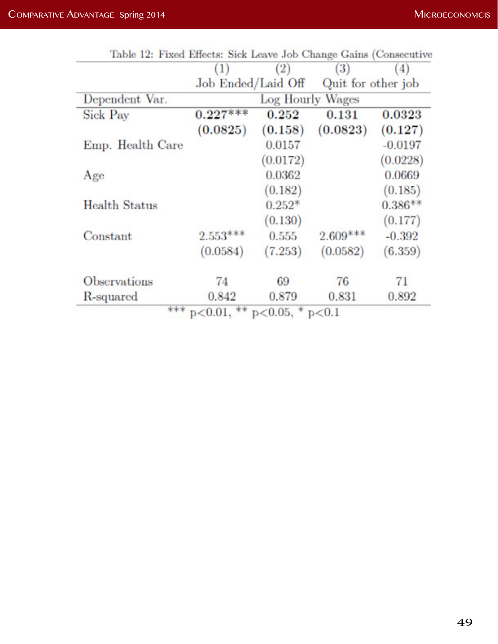|                     |                    | (2)                     | (3)                | 4)        |
|---------------------|--------------------|-------------------------|--------------------|-----------|
|                     | Job Ended/Laid Off |                         | Quit for other job |           |
| Dependent Var.      |                    | <b>Log Hourly Wages</b> |                    |           |
| Sick Pay            | $0.227***$         | 0.252                   | 0.131              | 0.0323    |
|                     | (0.0825)           | (0.158)                 | (0.0823)           | (0.127)   |
| Emp. Health Care    |                    | 0.0157                  |                    | $-0.0197$ |
|                     |                    | (0.0172)                |                    | (0.0228)  |
| Age                 |                    | 0.0362                  |                    | 0.0669    |
|                     |                    | (0.182)                 |                    | (0.185)   |
| Health Status       |                    | $0.252*$                |                    | $0.386**$ |
|                     |                    | (0.130)                 |                    | (0.177)   |
| Constant            | $2.553***$         | 0.555                   | $2.609***$         | $-0.392$  |
|                     | (0.0584)           | (7.253)                 | (0.0582)           | (6.359)   |
| <b>Observations</b> | 74                 | 69                      | 76                 | 71        |
| R-squared           | 0.842              | 0.879                   | 0.831              | 0.892     |

|  |  |  |               | Table 12: Fixed Effects: Sick Leave Job Change Gains (Consecutive |
|--|--|--|---------------|-------------------------------------------------------------------|
|  |  |  | $\sim$ $\sim$ |                                                                   |

 $p < 0.01$ ,  $p < 0.05$ ,  $p < 0.1$